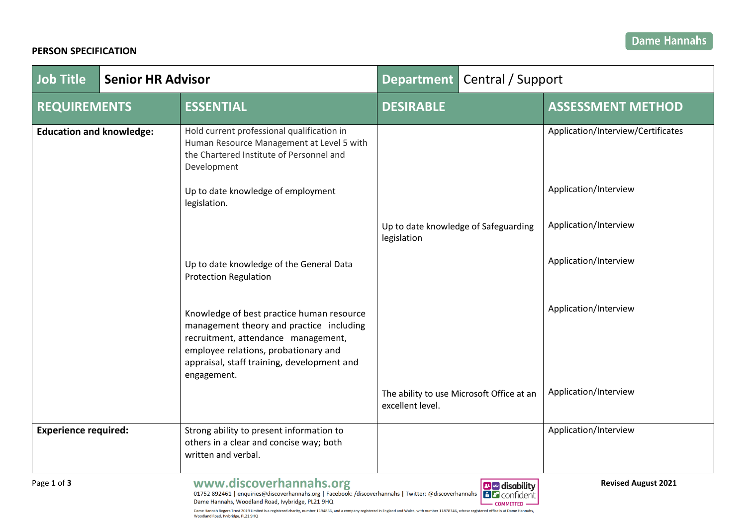# **PERSON SPECIFICATION**

| Job Title                       | <b>Senior HR Advisor</b> |                                                                                                                                                                                                                                   | Department   Central / Support                                |                                    |
|---------------------------------|--------------------------|-----------------------------------------------------------------------------------------------------------------------------------------------------------------------------------------------------------------------------------|---------------------------------------------------------------|------------------------------------|
| <b>REQUIREMENTS</b>             |                          | <b>ESSENTIAL</b>                                                                                                                                                                                                                  | <b>DESIRABLE</b>                                              | <b>ASSESSMENT METHOD</b>           |
| <b>Education and knowledge:</b> |                          | Hold current professional qualification in<br>Human Resource Management at Level 5 with<br>the Chartered Institute of Personnel and<br>Development                                                                                |                                                               | Application/Interview/Certificates |
|                                 |                          | Up to date knowledge of employment<br>legislation.                                                                                                                                                                                |                                                               | Application/Interview              |
|                                 |                          |                                                                                                                                                                                                                                   | Up to date knowledge of Safeguarding<br>legislation           | Application/Interview              |
|                                 |                          | Up to date knowledge of the General Data<br><b>Protection Regulation</b>                                                                                                                                                          |                                                               | Application/Interview              |
|                                 |                          | Knowledge of best practice human resource<br>management theory and practice including<br>recruitment, attendance management,<br>employee relations, probationary and<br>appraisal, staff training, development and<br>engagement. |                                                               | Application/Interview              |
|                                 |                          |                                                                                                                                                                                                                                   | The ability to use Microsoft Office at an<br>excellent level. | Application/Interview              |
| <b>Experience required:</b>     |                          | Strong ability to present information to<br>others in a clear and concise way; both<br>written and verbal.                                                                                                                        |                                                               | Application/Interview              |
| Page 1 of 3                     |                          | www.discoverhannahs.org<br>01752 892461   enquiries@discoverhannahs.org   Facebook: /discoverhannahs   Twitter: @discoverhannahs   Talconfictent                                                                                  | <b>B</b> disability                                           | <b>Revised August 2021</b>         |

CONTINGENT Dame Hannahs, Woodland Road, Ivybridge, PL21 9HQ Dame Hannah Rogers Trust 2019 Limited is a registered charity, number 1194836, and a company registered in England and Wales, with number 11878746, whose registered office is at Dame Hannahs,<br>Woodland Road, Ivybridge, PL21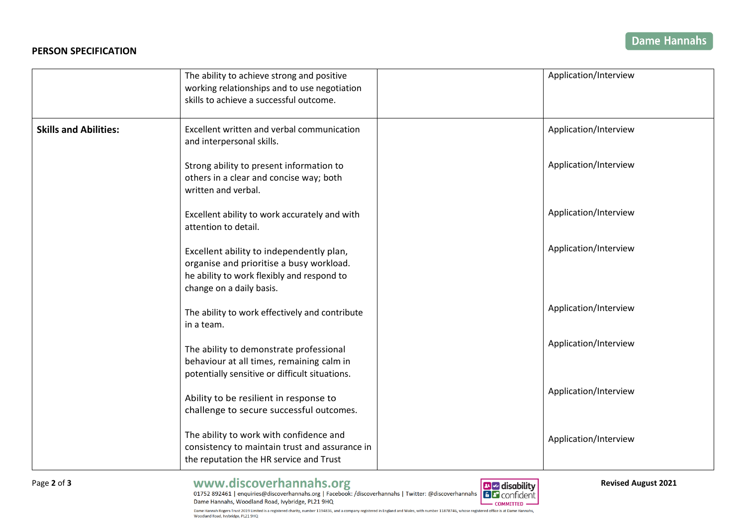## **PERSON SPECIFICATION**

|                              | The ability to achieve strong and positive<br>working relationships and to use negotiation<br>skills to achieve a successful outcome.                          | Application/Interview |
|------------------------------|----------------------------------------------------------------------------------------------------------------------------------------------------------------|-----------------------|
| <b>Skills and Abilities:</b> | Excellent written and verbal communication<br>and interpersonal skills.                                                                                        | Application/Interview |
|                              | Strong ability to present information to<br>others in a clear and concise way; both<br>written and verbal.                                                     | Application/Interview |
|                              | Excellent ability to work accurately and with<br>attention to detail.                                                                                          | Application/Interview |
|                              | Excellent ability to independently plan,<br>organise and prioritise a busy workload.<br>he ability to work flexibly and respond to<br>change on a daily basis. | Application/Interview |
|                              | The ability to work effectively and contribute<br>in a team.                                                                                                   | Application/Interview |
|                              | The ability to demonstrate professional<br>behaviour at all times, remaining calm in<br>potentially sensitive or difficult situations.                         | Application/Interview |
|                              | Ability to be resilient in response to<br>challenge to secure successful outcomes.                                                                             | Application/Interview |
|                              | The ability to work with confidence and<br>consistency to maintain trust and assurance in<br>the reputation the HR service and Trust                           | Application/Interview |

Page 2 of 3<br> **2021 Revised August 2021**<br>
2021 **Page 2 of 3**<br>
2021 **Page 2 of 3**<br>
2021 **Page 2 of 3**<br>
2021 **Page 2 of 3** Dame Hannahs, Woodland Road, Ivybridge, PL21 9HQ L



Dame Hannah Rogers Trust 2019 Limited is a registered charity, number 1194836, and a company registered in England and Wales, with number 11878746, whose registered office is at Dame Hannahs, Woodland Road, Ivybridge, PL21 9HQ